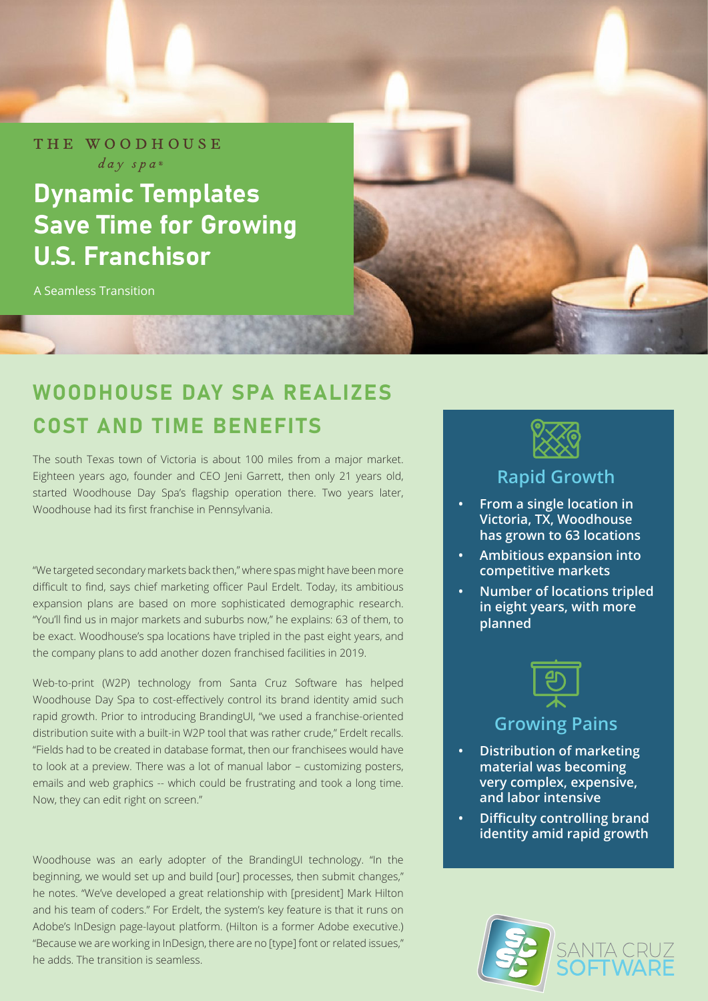THE WOODHOUSE  $day$  spa $)$ 

# Dynamic Templates Save Time for Growing U.S. Franchisor

A Seamless Transition

## WOODHOUSE DAY SPA REALIZES COST AND TIME BENEFITS

**SALE ROLL AND SHOP** 

The south Texas town of Victoria is about 100 miles from a major market. Eighteen years ago, founder and CEO Jeni Garrett, then only 21 years old, started Woodhouse Day Spa's flagship operation there. Two years later, Woodhouse had its first franchise in Pennsylvania.

"We targeted secondary markets back then," where spas might have been more difficult to find, says chief marketing officer Paul Erdelt. Today, its ambitious expansion plans are based on more sophisticated demographic research. "You'll find us in major markets and suburbs now," he explains: 63 of them, to be exact. Woodhouse's spa locations have tripled in the past eight years, and the company plans to add another dozen franchised facilities in 2019.

Web-to-print (W2P) technology from Santa Cruz Software has helped Woodhouse Day Spa to cost-effectively control its brand identity amid such rapid growth. Prior to introducing BrandingUI, "we used a franchise-oriented distribution suite with a built-in W2P tool that was rather crude," Erdelt recalls. "Fields had to be created in database format, then our franchisees would have to look at a preview. There was a lot of manual labor – customizing posters, emails and web graphics -- which could be frustrating and took a long time. Now, they can edit right on screen."

Woodhouse was an early adopter of the BrandingUI technology. "In the beginning, we would set up and build [our] processes, then submit changes," he notes. "We've developed a great relationship with [president] Mark Hilton and his team of coders." For Erdelt, the system's key feature is that it runs on Adobe's InDesign page-layout platform. (Hilton is a former Adobe executive.) "Because we are working in InDesign, there are no [type] font or related issues," he adds. The transition is seamless.



#### **Rapid Growth**

- **• From a single location in Victoria, TX, Woodhouse has grown to 63 locations**
- **• Ambitious expansion into competitive markets**
- **• Number of locations tripled in eight years, with more planned**



### **Growing Pains**

- **• Distribution of marketing material was becoming very complex, expensive, and labor intensive**
- **• Difficulty controlling brand identity amid rapid growth**